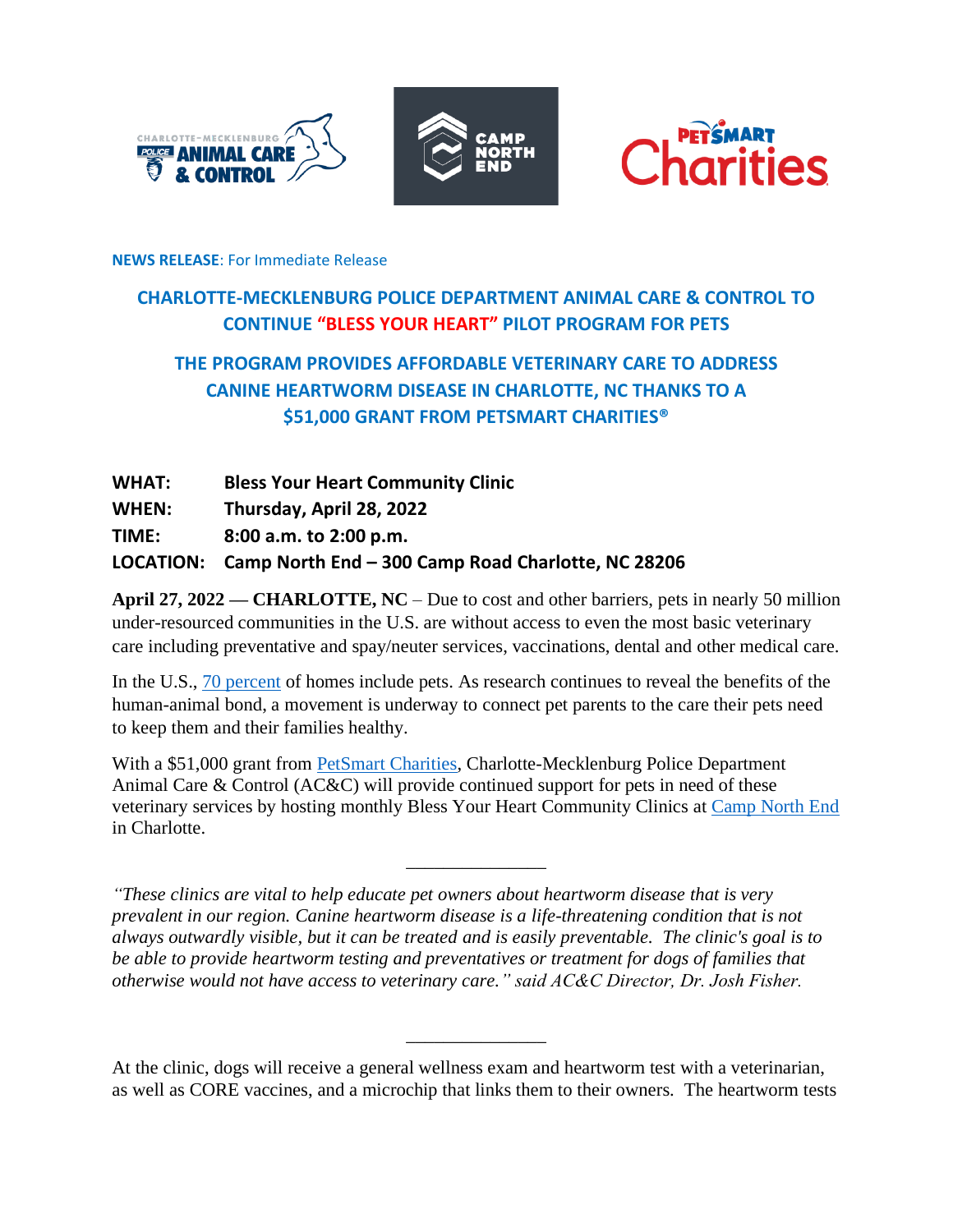





#### **NEWS RELEASE**: For Immediate Release

# **CHARLOTTE-MECKLENBURG POLICE DEPARTMENT ANIMAL CARE & CONTROL TO CONTINUE "BLESS YOUR HEART" PILOT PROGRAM FOR PETS**

# **THE PROGRAM PROVIDES AFFORDABLE VETERINARY CARE TO ADDRESS CANINE HEARTWORM DISEASE IN CHARLOTTE, NC THANKS TO A \$51,000 GRANT FROM PETSMART CHARITIES®**

| <b>WHAT:</b> | <b>Bless Your Heart Community Clinic</b>                     |
|--------------|--------------------------------------------------------------|
| <b>WHEN:</b> | Thursday, April 28, 2022                                     |
| <b>TIME:</b> | 8:00 a.m. to 2:00 p.m.                                       |
|              | LOCATION: Camp North End - 300 Camp Road Charlotte, NC 28206 |

**April 27, 2022 — CHARLOTTE, NC** – Due to cost and other barriers, pets in nearly 50 million under-resourced communities in the U.S. are without access to even the most basic veterinary care including preventative and spay/neuter services, vaccinations, dental and other medical care.

In the U.S., [70 percent](https://www.iii.org/fact-statistic/facts-statistics-pet-ownership-and-insurance) of homes include pets. As research continues to reveal the benefits of the human-animal bond, a movement is underway to connect pet parents to the care their pets need to keep them and their families healthy.

With a \$51,000 grant from [PetSmart Charities,](https://petsmartcharities.org/) Charlotte-Mecklenburg Police Department Animal Care & Control (AC&C) will provide continued support for pets in need of these veterinary services by hosting monthly Bless Your Heart Community Clinics at [Camp North End](https://camp.nc/) in Charlotte.

\_\_\_\_\_\_\_\_\_\_\_\_\_\_\_

*"These clinics are vital to help educate pet owners about heartworm disease that is very prevalent in our region. Canine heartworm disease is a life-threatening condition that is not always outwardly visible, but it can be treated and is easily preventable. The clinic's goal is to be able to provide heartworm testing and preventatives or treatment for dogs of families that otherwise would not have access to veterinary care." said AC&C Director, Dr. Josh Fisher.*

\_\_\_\_\_\_\_\_\_\_\_\_\_\_\_

At the clinic, dogs will receive a general wellness exam and heartworm test with a veterinarian, as well as CORE vaccines, and a microchip that links them to their owners. The heartworm tests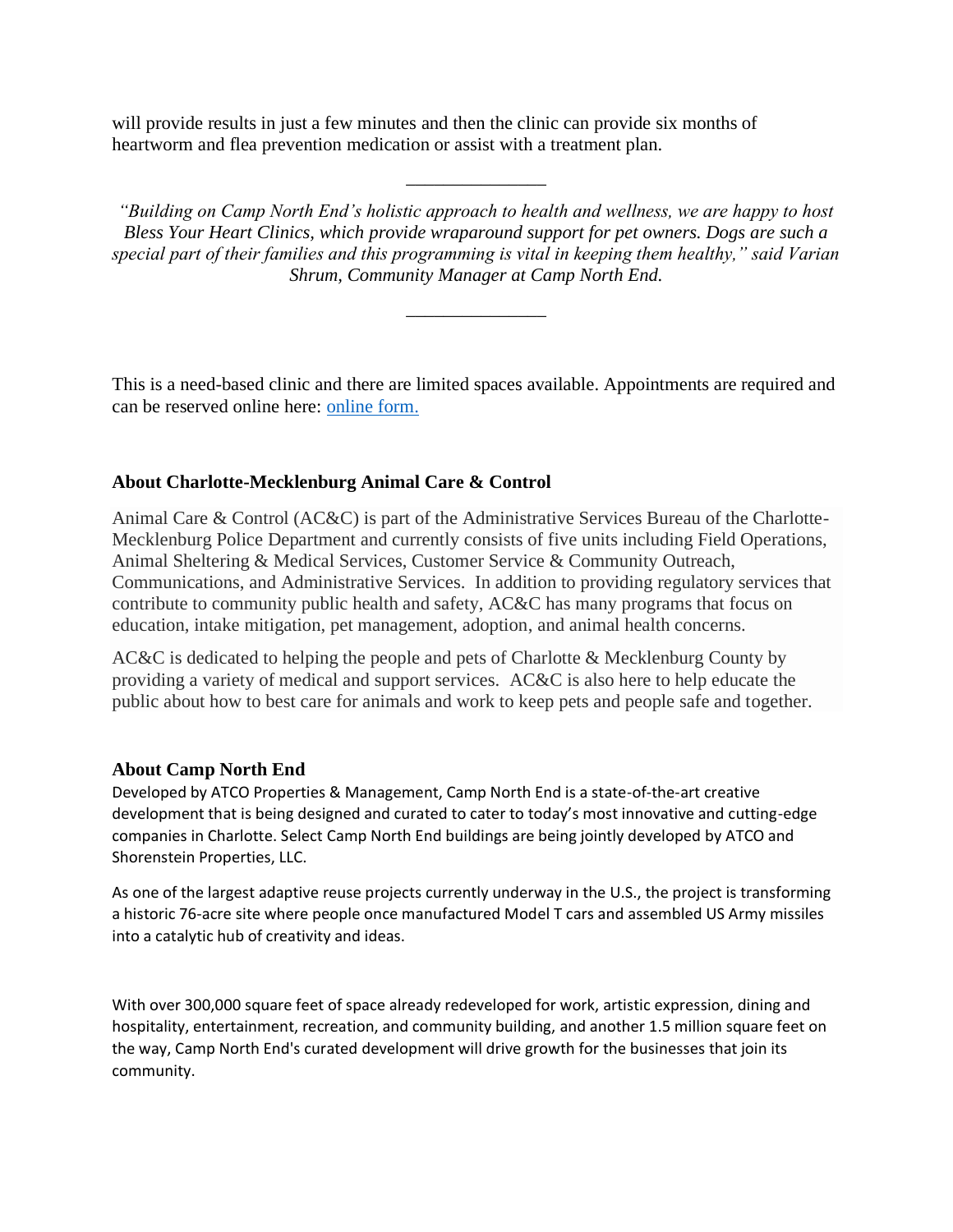will provide results in just a few minutes and then the clinic can provide six months of heartworm and flea prevention medication or assist with a treatment plan.

*"Building on Camp North End's holistic approach to health and wellness, we are happy to host Bless Your Heart Clinics, which provide wraparound support for pet owners. Dogs are such a special part of their families and this programming is vital in keeping them healthy," said Varian Shrum, Community Manager at Camp North End.*

\_\_\_\_\_\_\_\_\_\_\_\_\_\_\_

\_\_\_\_\_\_\_\_\_\_\_\_\_\_\_

This is a need-based clinic and there are limited spaces available. Appointments are required and can be reserved online here: [online form.](https://charlottenc.seamlessdocs.com/f/osd7drzmr5x9)

### **About Charlotte-Mecklenburg Animal Care & Control**

Animal Care & Control (AC&C) is part of the Administrative Services Bureau of the Charlotte-Mecklenburg Police Department and currently consists of five units including Field Operations, Animal Sheltering & Medical Services, Customer Service & Community Outreach, Communications, and Administrative Services. In addition to providing regulatory services that contribute to community public health and safety, AC&C has many programs that focus on education, intake mitigation, pet management, adoption, and animal health concerns.

AC&C is dedicated to helping the people and pets of Charlotte & Mecklenburg County by providing a variety of medical and support services. AC&C is also here to help educate the public about how to best care for animals and work to keep pets and people safe and together.

### **About Camp North End**

Developed by ATCO Properties & Management, Camp North End is a state-of-the-art creative development that is being designed and curated to cater to today's most innovative and cutting-edge companies in Charlotte. Select Camp North End buildings are being jointly developed by ATCO and Shorenstein Properties, LLC.

As one of the largest adaptive reuse projects currently underway in the U.S., the project is transforming a historic 76-acre site where people once manufactured Model T cars and assembled US Army missiles into a catalytic hub of creativity and ideas.

With over 300,000 square feet of space already redeveloped for work, artistic expression, dining and hospitality, entertainment, recreation, and community building, and another 1.5 million square feet on the way, Camp North End's curated development will drive growth for the businesses that join its community.